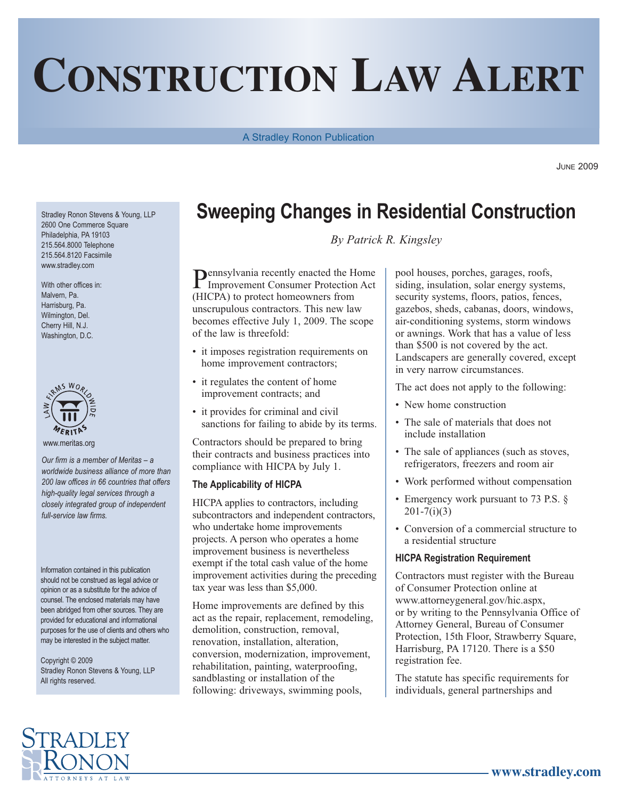# **CONSTRUCTION LAW ALERT**

A Stradley Ronon Publication

JUNE 2009

Stradley Ronon Stevens & Young, LLP 2600 One Commerce Square Philadelphia, PA 19103 215.564.8000 Telephone 215.564.8120 Facsimile www.stradley.com

With other offices in: Malvern, Pa. Harrisburg, Pa. Wilmington, Del. Cherry Hill, N.J. Washington, D.C.



www.meritas.org

*Our firm is a member of Meritas – a worldwide business alliance of more than 200 law offices in 66 countries that offers high-quality legal services through a closely integrated group of independent full-service law firms.*

Information contained in this publication should not be construed as legal advice or opinion or as a substitute for the advice of counsel. The enclosed materials may have been abridged from other sources. They are provided for educational and informational purposes for the use of clients and others who may be interested in the subject matter.

Copyright © 2009 Stradley Ronon Stevens & Young, LLP All rights reserved.

## **Sweeping Changes in Residential Construction**

*By Patrick R. Kingsley*

Pennsylvania recently enacted the Home Improvement Consumer Protection Act (HICPA) to protect homeowners from unscrupulous contractors. This new law becomes effective July 1, 2009. The scope of the law is threefold:

- it imposes registration requirements on home improvement contractors;
- it regulates the content of home improvement contracts; and
- it provides for criminal and civil sanctions for failing to abide by its terms.

Contractors should be prepared to bring their contracts and business practices into compliance with HICPA by July 1.

#### **The Applicability of HICPA**

HICPA applies to contractors, including subcontractors and independent contractors, who undertake home improvements projects. A person who operates a home improvement business is nevertheless exempt if the total cash value of the home improvement activities during the preceding tax year was less than \$5,000.

Home improvements are defined by this act as the repair, replacement, remodeling, demolition, construction, removal, renovation, installation, alteration, conversion, modernization, improvement, rehabilitation, painting, waterproofing, sandblasting or installation of the following: driveways, swimming pools,

pool houses, porches, garages, roofs, siding, insulation, solar energy systems, security systems, floors, patios, fences, gazebos, sheds, cabanas, doors, windows, air-conditioning systems, storm windows or awnings. Work that has a value of less than \$500 is not covered by the act. Landscapers are generally covered, except in very narrow circumstances.

The act does not apply to the following:

- New home construction
- The sale of materials that does not include installation
- The sale of appliances (such as stoves, refrigerators, freezers and room air
- Work performed without compensation
- Emergency work pursuant to 73 P.S. §  $201 - 7(i)(3)$
- Conversion of a commercial structure to a residential structure

#### **HICPA Registration Requirement**

Contractors must register with the Bureau of Consumer Protection online at www.attorneygeneral.gov/hic.aspx, or by writing to the Pennsylvania Office of Attorney General, Bureau of Consumer Protection, 15th Floor, Strawberry Square, Harrisburg, PA 17120. There is a \$50 registration fee.

The statute has specific requirements for individuals, general partnerships and

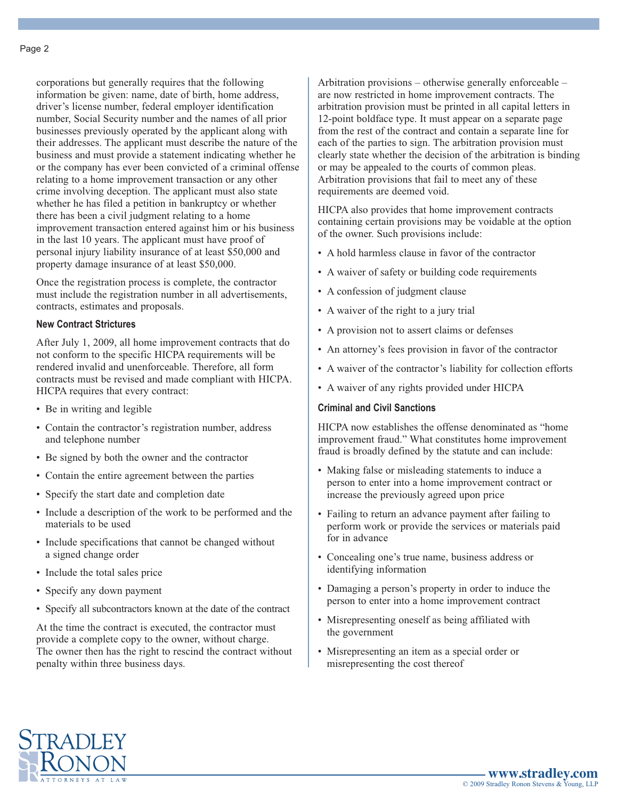corporations but generally requires that the following information be given: name, date of birth, home address, driver's license number, federal employer identification number, Social Security number and the names of all prior businesses previously operated by the applicant along with their addresses. The applicant must describe the nature of the business and must provide a statement indicating whether he or the company has ever been convicted of a criminal offense relating to a home improvement transaction or any other crime involving deception. The applicant must also state whether he has filed a petition in bankruptcy or whether there has been a civil judgment relating to a home improvement transaction entered against him or his business in the last 10 years. The applicant must have proof of personal injury liability insurance of at least \$50,000 and property damage insurance of at least \$50,000.

Once the registration process is complete, the contractor must include the registration number in all advertisements, contracts, estimates and proposals.

#### **New Contract Strictures**

After July 1, 2009, all home improvement contracts that do not conform to the specific HICPA requirements will be rendered invalid and unenforceable. Therefore, all form contracts must be revised and made compliant with HICPA. HICPA requires that every contract:

- Be in writing and legible
- Contain the contractor's registration number, address and telephone number
- Be signed by both the owner and the contractor
- Contain the entire agreement between the parties
- Specify the start date and completion date
- Include a description of the work to be performed and the materials to be used
- Include specifications that cannot be changed without a signed change order
- Include the total sales price
- Specify any down payment
- Specify all subcontractors known at the date of the contract

At the time the contract is executed, the contractor must provide a complete copy to the owner, without charge. The owner then has the right to rescind the contract without penalty within three business days.

Arbitration provisions – otherwise generally enforceable – are now restricted in home improvement contracts. The arbitration provision must be printed in all capital letters in 12-point boldface type. It must appear on a separate page from the rest of the contract and contain a separate line for each of the parties to sign. The arbitration provision must clearly state whether the decision of the arbitration is binding or may be appealed to the courts of common pleas. Arbitration provisions that fail to meet any of these requirements are deemed void.

HICPA also provides that home improvement contracts containing certain provisions may be voidable at the option of the owner. Such provisions include:

- A hold harmless clause in favor of the contractor
- A waiver of safety or building code requirements
- A confession of judgment clause
- A waiver of the right to a jury trial
- A provision not to assert claims or defenses
- An attorney's fees provision in favor of the contractor
- A waiver of the contractor's liability for collection efforts
- A waiver of any rights provided under HICPA

#### **Criminal and Civil Sanctions**

HICPA now establishes the offense denominated as "home improvement fraud." What constitutes home improvement fraud is broadly defined by the statute and can include:

- Making false or misleading statements to induce a person to enter into a home improvement contract or increase the previously agreed upon price
- Failing to return an advance payment after failing to perform work or provide the services or materials paid for in advance
- Concealing one's true name, business address or identifying information
- Damaging a person's property in order to induce the person to enter into a home improvement contract
- Misrepresenting oneself as being affiliated with the government
- Misrepresenting an item as a special order or misrepresenting the cost thereof

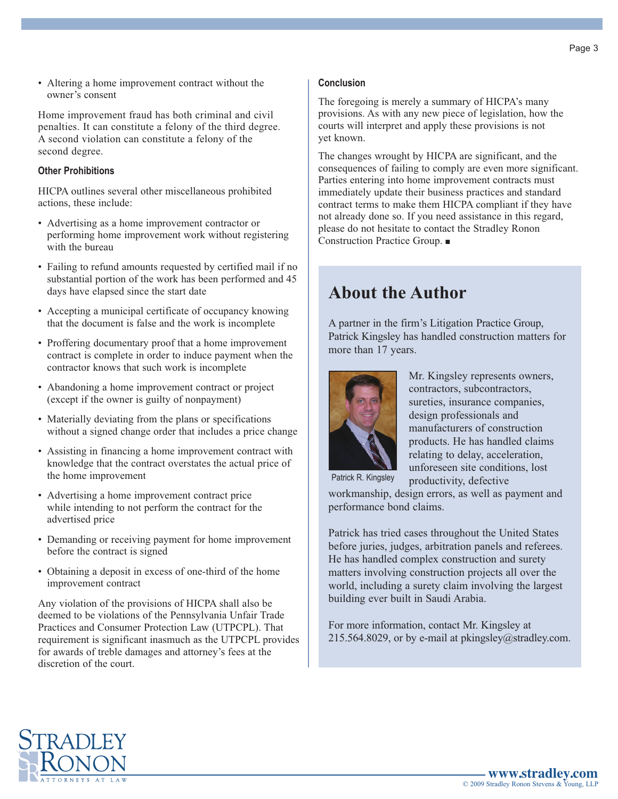• Altering a home improvement contract without the owner's consent

Home improvement fraud has both criminal and civil penalties. It can constitute a felony of the third degree. A second violation can constitute a felony of the second degree.

#### **Other Prohibitions**

HICPA outlines several other miscellaneous prohibited actions, these include:

- Advertising as a home improvement contractor or performing home improvement work without registering with the bureau
- Failing to refund amounts requested by certified mail if no substantial portion of the work has been performed and 45 days have elapsed since the start date
- Accepting a municipal certificate of occupancy knowing that the document is false and the work is incomplete
- Proffering documentary proof that a home improvement contract is complete in order to induce payment when the contractor knows that such work is incomplete
- Abandoning a home improvement contract or project (except if the owner is guilty of nonpayment)
- Materially deviating from the plans or specifications without a signed change order that includes a price change
- Assisting in financing a home improvement contract with knowledge that the contract overstates the actual price of the home improvement
- Advertising a home improvement contract price while intending to not perform the contract for the advertised price
- Demanding or receiving payment for home improvement before the contract is signed
- Obtaining a deposit in excess of one-third of the home improvement contract

Any violation of the provisions of HICPA shall also be deemed to be violations of the Pennsylvania Unfair Trade Practices and Consumer Protection Law (UTPCPL). That requirement is significant inasmuch as the UTPCPL provides for awards of treble damages and attorney's fees at the discretion of the court.

#### **Conclusion**

The foregoing is merely a summary of HICPA's many provisions. As with any new piece of legislation, how the courts will interpret and apply these provisions is not yet known.

The changes wrought by HICPA are significant, and the consequences of failing to comply are even more significant. Parties entering into home improvement contracts must immediately update their business practices and standard contract terms to make them HICPA compliant if they have not already done so. If you need assistance in this regard, please do not hesitate to contact the Stradley Ronon Construction Practice Group. ■

### **About the Author**

A partner in the firm's Litigation Practice Group, Patrick Kingsley has handled construction matters for more than 17 years.



Mr. Kingsley represents owners, contractors, subcontractors, sureties, insurance companies, design professionals and manufacturers of construction products. He has handled claims relating to delay, acceleration, unforeseen site conditions, lost

Patrick R. Kingsley

productivity, defective workmanship, design errors, as well as payment and performance bond claims.

Patrick has tried cases throughout the United States before juries, judges, arbitration panels and referees. He has handled complex construction and surety matters involving construction projects all over the world, including a surety claim involving the largest building ever built in Saudi Arabia.

For more information, contact Mr. Kingsley at 215.564.8029, or by e-mail at pkingsley@stradley.com.